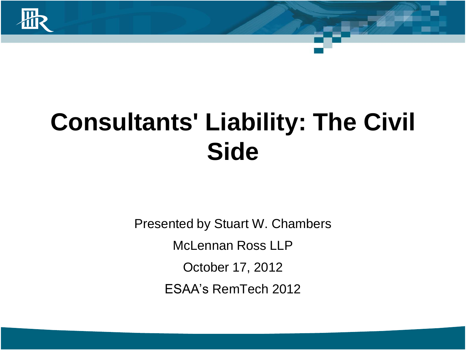

## **Consultants' Liability: The Civil Side**

Presented by Stuart W. Chambers McLennan Ross LLP October 17, 2012 ESAA's RemTech 2012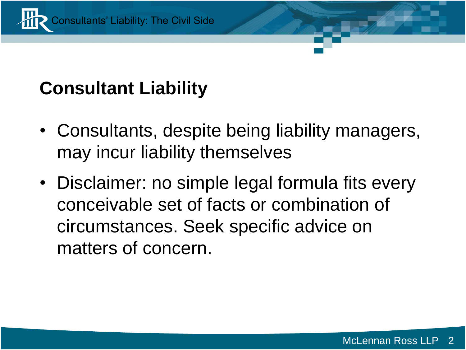

#### **Consultant Liability**

- Consultants, despite being liability managers, may incur liability themselves
- Disclaimer: no simple legal formula fits every conceivable set of facts or combination of circumstances. Seek specific advice on matters of concern.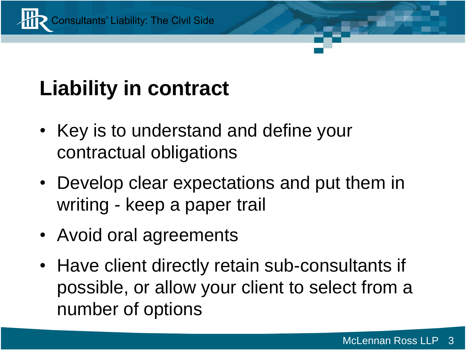

### **Liability in contract**

- Key is to understand and define your contractual obligations
- Develop clear expectations and put them in writing - keep a paper trail
- Avoid oral agreements
- Have client directly retain sub-consultants if possible, or allow your client to select from a number of options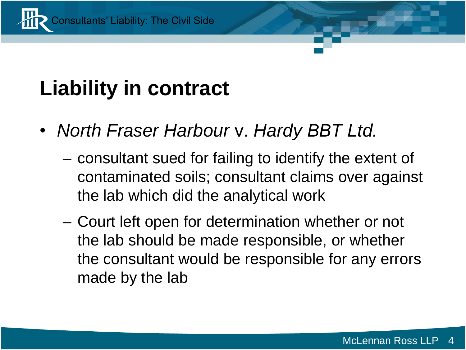

#### **Liability in contract**

- *North Fraser Harbour* v. *Hardy BBT Ltd.*
	- consultant sued for failing to identify the extent of contaminated soils; consultant claims over against the lab which did the analytical work
	- Court left open for determination whether or not the lab should be made responsible, or whether the consultant would be responsible for any errors made by the lab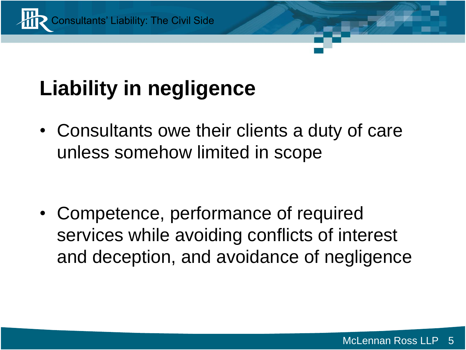

• Consultants owe their clients a duty of care unless somehow limited in scope

• Competence, performance of required services while avoiding conflicts of interest and deception, and avoidance of negligence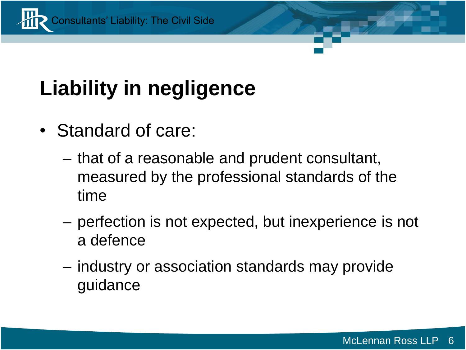

- Standard of care:
	- that of a reasonable and prudent consultant, measured by the professional standards of the time
	- perfection is not expected, but inexperience is not a defence
	- industry or association standards may provide guidance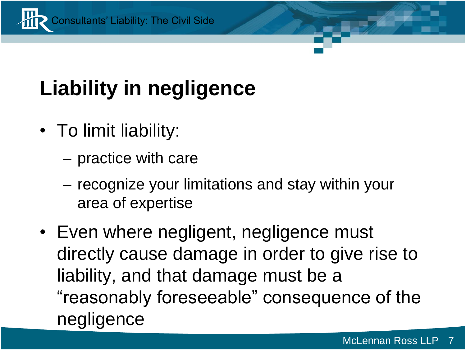

- To limit liability:
	- practice with care
	- recognize your limitations and stay within your area of expertise
- Even where negligent, negligence must directly cause damage in order to give rise to liability, and that damage must be a "reasonably foreseeable" consequence of the negligence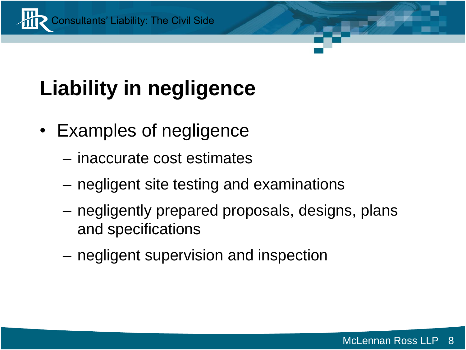

- Examples of negligence
	- inaccurate cost estimates
	- negligent site testing and examinations
	- negligently prepared proposals, designs, plans and specifications
	- negligent supervision and inspection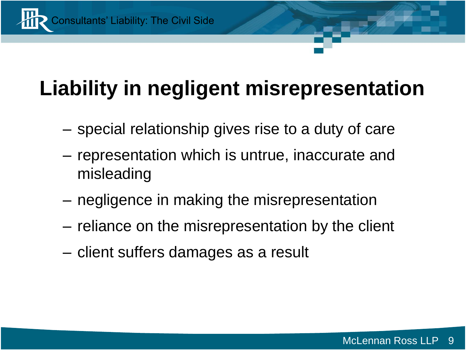

### **Liability in negligent misrepresentation**

- special relationship gives rise to a duty of care
- representation which is untrue, inaccurate and misleading
- negligence in making the misrepresentation
- reliance on the misrepresentation by the client
- client suffers damages as a result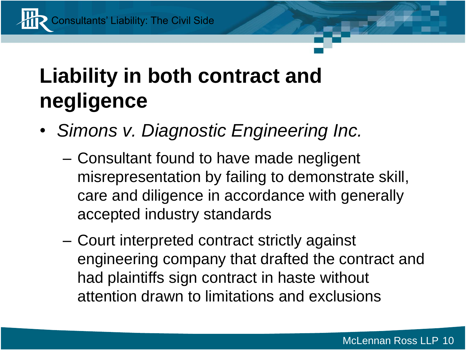Consultants' Liability: The Civil Side

#### **Liability in both contract and negligence**

- *Simons v. Diagnostic Engineering Inc.*
	- Consultant found to have made negligent misrepresentation by failing to demonstrate skill, care and diligence in accordance with generally accepted industry standards
	- Court interpreted contract strictly against engineering company that drafted the contract and had plaintiffs sign contract in haste without attention drawn to limitations and exclusions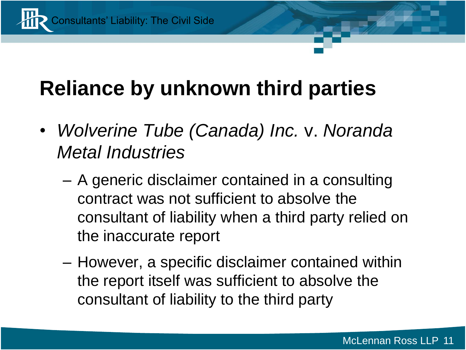

#### **Reliance by unknown third parties**

- *Wolverine Tube (Canada) Inc.* v. *Noranda Metal Industries*
	- A generic disclaimer contained in a consulting contract was not sufficient to absolve the consultant of liability when a third party relied on the inaccurate report
	- However, a specific disclaimer contained within the report itself was sufficient to absolve the consultant of liability to the third party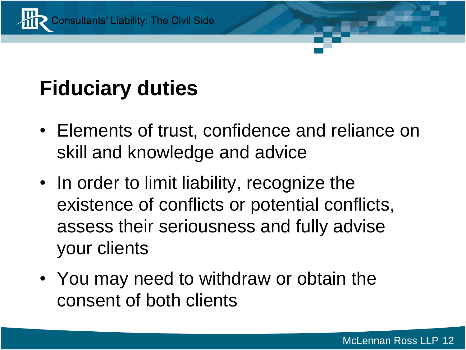

#### **Fiduciary duties**

- Elements of trust, confidence and reliance on skill and knowledge and advice
- In order to limit liability, recognize the existence of conflicts or potential conflicts, assess their seriousness and fully advise your clients
- You may need to withdraw or obtain the consent of both clients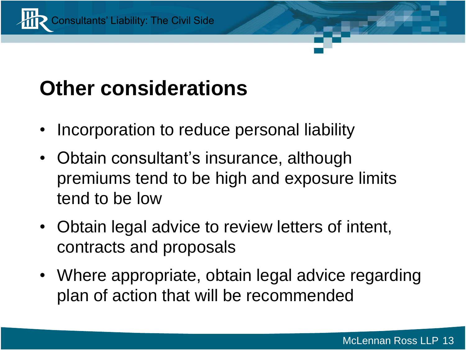

#### **Other considerations**

- Incorporation to reduce personal liability
- Obtain consultant's insurance, although premiums tend to be high and exposure limits tend to be low
- Obtain legal advice to review letters of intent, contracts and proposals
- Where appropriate, obtain legal advice regarding plan of action that will be recommended